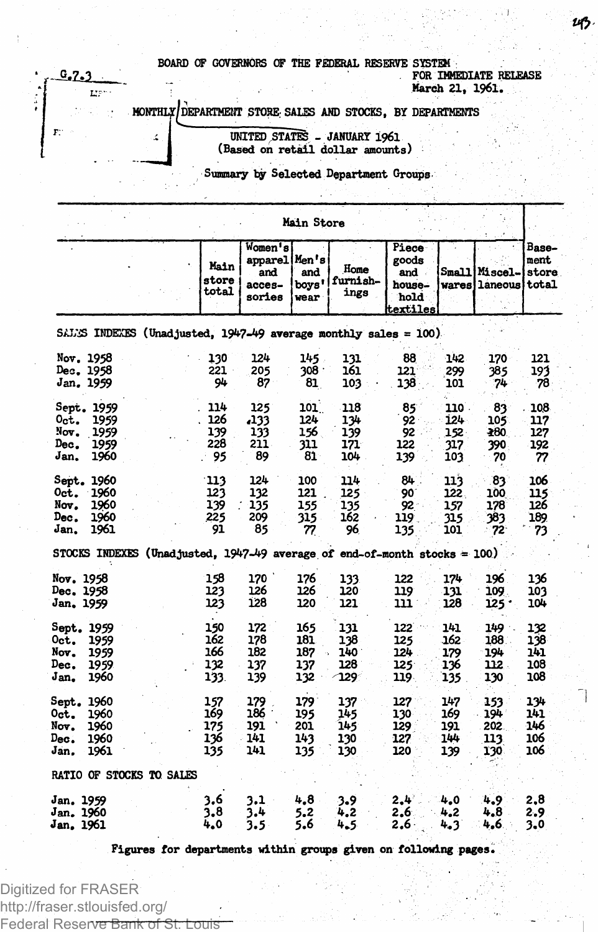**BOARD OF GOVERNORS OF THE FEDERAL RESERVE SYSTEM FOR IMMEDIATE RELEASE** 7 **March 21, 1961.**

**DEPARTMENT STORE; SALES AND STOCKS, BY DEPARTMENTS**

**UNITED STATES - JANUARY 1961 (Based on retail dollar amounts)**

**Summary by Selected Department Groups**

|                                                                                        | Main Store                       |                                                         |                                 |                                 |                                                       |                                    |                                       |                                 |
|----------------------------------------------------------------------------------------|----------------------------------|---------------------------------------------------------|---------------------------------|---------------------------------|-------------------------------------------------------|------------------------------------|---------------------------------------|---------------------------------|
|                                                                                        | Main<br>store<br>total           | Women's<br>apparel Men's<br>and<br>$access -$<br>sories | and<br>boys'<br>wear            | Home<br>furnish-<br>ings        | Piece<br>goods<br>and .<br>house-<br>hold<br>textiles |                                    | <b>Small Miscel-</b><br>wares laneous | Base-<br>ment<br>store<br>total |
| SALES INDEES (Unadjusted, 1947-49 average monthly sales = 100).                        |                                  |                                                         |                                 |                                 |                                                       |                                    |                                       |                                 |
| Nov. 1958<br>Dec. 1958<br>Jan. 1959                                                    | 130<br>221<br>94                 | 124<br>205<br>87                                        | 145.<br>$308 -$<br>81           | 131<br>161<br>103               | 88<br>121<br>138                                      | 142<br>299<br>101                  | 170<br>385<br>74                      | 121<br>193<br>78                |
| Sept. 1959<br>Oct.<br>1959<br>Nov.<br>-1959<br>Dec.<br>1959<br>Jan.<br>1960            | 114<br>126<br>139<br>228<br>95   | 125<br>,133<br>133<br>211<br>89                         | 101<br>124<br>156<br>311<br>81  | 118<br>134<br>139<br>171<br>104 | 85<br>92.<br>92.<br>122<br>139                        | 110 -<br>124<br>152.<br>317<br>103 | 83<br>105<br>280<br>390<br>70         | 108<br>117<br>127<br>192<br>77  |
| Sept. 1960<br>1960<br>Oct.<br>1960<br>Nov.<br>1960<br>Dec.<br>Jan.<br>1961             | 113<br>123<br>139<br>225<br>91   | 124<br>132<br>135<br>209<br>85                          | 100<br>121<br>155<br>315<br>77  | 114<br>125<br>135<br>162<br>96. | 84<br>90<br>92.<br>119<br>135                         | 113<br>122.<br>157<br>315<br>101   | 83<br>100<br>178<br>383<br>72         | 106<br>115<br>126<br>189<br>73  |
| STOCKS INDEXES (Unadjusted, $1947-49$ average of end-of-month stocks = 100)            |                                  |                                                         |                                 |                                 |                                                       |                                    |                                       |                                 |
| Nov. 1958<br>Dec. 1958<br>Jan. 1959                                                    | 158<br>123<br>123                | 170 `<br>126<br>128                                     | 176<br>126<br>120               | 133<br>120<br>121               | 122<br>119<br>111                                     | 174<br>131<br>128                  | 196<br>109.<br>$125 -$                | 136<br>103<br>104               |
| Sept. 1959<br>0 <sub>ct.</sub><br>1959<br>Nov.<br>1959<br>Dec.<br>1959<br>Jan.<br>1960 | 150<br>162<br>166<br>132<br>133. | 172<br>178<br>182<br>137<br>139                         | 165<br>181<br>187<br>137<br>132 | 131<br>138<br>140<br>128<br>129 | 122<br>125<br>124<br>125<br>119.                      | 141<br>162<br>179<br>136<br>135    | 149.<br>188<br>194<br>112.<br>130     | 132<br>138<br>141<br>108<br>108 |
| Sept. 1960<br>0ct.<br>1960<br>Nov.<br>1960<br>Dec.<br>1960<br>Jan.<br>1961             | 157<br>169<br>175<br>136<br>135  | 179<br>186<br>191<br>141<br>141                         | 179<br>195<br>201<br>143<br>135 | 137<br>145<br>145<br>130<br>130 | 127<br>130<br>129<br>127<br>120                       | 147<br>169<br>191<br>144<br>139    | 153<br>194<br>202.<br>113<br>130.     | 134<br>141<br>146<br>106<br>106 |
| <b>RATIO OF STOCKS TO SALES</b>                                                        |                                  |                                                         |                                 |                                 |                                                       |                                    |                                       |                                 |
| Jan. 1959<br>Jan. 1960<br>Jan. 1961                                                    | 3.6<br>3,8<br>4.0                | 3.1<br>3.4<br>3.5                                       | 4.8<br>5.2<br>5.6               | 3.9<br>4.2<br>4.5               | $2.4^{\circ}$<br>2.6<br>2,6.                          | 4.0<br>4.2<br>4.3                  | $4.9^{\circ}$<br>4.8<br>4,6.          | 2.8<br>2.9<br>3.0               |

**Figures for departments within groups given on following pages.**

Digitized for FRASER http://fraser.stlouisfed.org/ Federal Reserve Bank of St. Louis

 $0.7.3$ Ly:

4

F.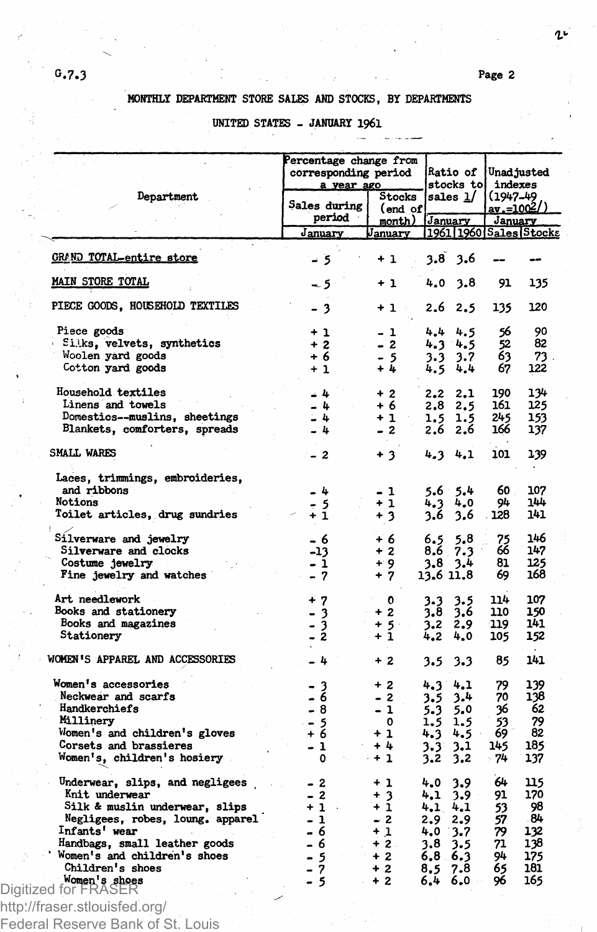## **MONTHLY DEPARTMENT STORE SALES AND STOCKS, BY DEPARTMENTS**

## **UNITED STATES - JANUARY I96I**

|                                       | Percentage change from<br>corresponding period<br>a year ago | $\mathtt{Ratio}$ of $\mid$<br>stocks to |                              | Unad justed<br>indexes |                                               |  |
|---------------------------------------|--------------------------------------------------------------|-----------------------------------------|------------------------------|------------------------|-----------------------------------------------|--|
| Department                            | Sales during<br>period                                       | Stocks<br>(end of                       | sales $1/$<br>month) January |                        | $(1947 - 49)$<br><u>av.=1002/)</u><br>January |  |
|                                       | January                                                      | January                                 | 1961 1960 Sales Stocks       |                        |                                               |  |
| <b>GRAND TOTAL-entire store</b>       | - 5                                                          | $+1$                                    | 3,8<br>3.6                   |                        |                                               |  |
| MAIN STORE TOTAL                      | - 5                                                          | + 1                                     | 4.0<br>3.8                   | 91                     |                                               |  |
| PIECE GOODS, HOUSEHOLD TEXTILES       | - 3                                                          | $+1$ .                                  | 2.6<br>2.5                   | 135                    |                                               |  |
| Piece goods                           | $+1$                                                         | - 1                                     | 4.4<br>4.5                   | 56                     |                                               |  |
| Siks, velvets, synthetics             | $+2$                                                         | $-2$                                    | 4.3<br>4.5                   | 52                     |                                               |  |
| Woolen yard goods                     | + 6                                                          | $-5$                                    | 3.7<br>3.3                   | 63                     |                                               |  |
| Cotton yard goods                     | $+1$                                                         | + 4                                     | 4.5<br>4.4                   | 67                     |                                               |  |
| Household textiles                    | - 4                                                          | $+2$                                    | 2.2<br>2.1                   | 190                    |                                               |  |
| Linens and towels                     | $-4$                                                         | + 6                                     | 2.5<br>2.8                   | 161                    |                                               |  |
| Domestics--muslins, sheetings         | $-4$                                                         | $+1$                                    | 1.5<br>1.5                   | 245                    |                                               |  |
| Blankets, comforters, spreads         | - 4                                                          | $-2$                                    | 2.6<br>2.6                   | 166                    |                                               |  |
| SMALL WARES                           | - 2                                                          | $+3$                                    | 4.34.1                       | 101                    |                                               |  |
| Laces, trimmings, embroideries,       |                                                              |                                         |                              |                        |                                               |  |
| and ribbons                           | - 4                                                          | - 1                                     | $5.6$ $5.4$                  | 60                     |                                               |  |
| Notions                               | - 5                                                          | $+1$                                    | 4.0<br>4.3                   | 94                     |                                               |  |
| Toilet articles, drug sundries        | $+1$                                                         | $+3$                                    | 3.6<br>3.6                   | 128                    |                                               |  |
| Silverware and jewelry                | - 6                                                          | $+6$                                    | 5,8<br>6.5                   | 75<br>66               |                                               |  |
| Silverware and clocks                 | -13                                                          | $+2$                                    | 8.6 7.3                      |                        |                                               |  |
| Costume jewelry                       | - 1                                                          | $+9$                                    | $3.8 \t3.4$                  | 81                     |                                               |  |
| Fine jewelry and watches              | $-7$                                                         | $+ 7$                                   | 13.6 11.8                    | 69                     |                                               |  |
| Art needlework                        | $+7$                                                         | o                                       | 3.3<br>3.5                   | 114                    |                                               |  |
| Books and stationery                  | 3<br>-                                                       | $+2$                                    | 3.6<br>3.8                   | 110                    |                                               |  |
| Books and magazines<br>Stationery     | 3<br>$\overline{a}$<br>$\overline{2}$                        | $+5$<br>$+1$                            | 3.2<br>2.9<br>4.2<br>4.0     | 119<br>105             |                                               |  |
| WOMEN'S APPAREL AND ACCESSORIES       | $-4$                                                         | $+2$                                    | 3.5<br>3.3                   | 85                     |                                               |  |
| Women's accessories                   |                                                              |                                         |                              |                        |                                               |  |
| Neckwear and scarfs                   | - 3<br>- 6                                                   | $+2$<br>- 2                             | 4.1<br>4.3                   | 79<br>70               |                                               |  |
| Handkerchiefs                         |                                                              |                                         | 3.5<br>3.4                   |                        |                                               |  |
|                                       | - 8                                                          | - 1                                     | 5.3<br>5.0                   | 36                     |                                               |  |
| Millinery                             | - 5                                                          | 0                                       | 1.5<br>1.5                   | 53                     |                                               |  |
| Women's and children's gloves         | $+6$                                                         | $+1$                                    | 4.3<br>4.5                   | 69                     |                                               |  |
| Corsets and brassieres                | - 1                                                          | $+4$                                    | 3.1<br>3.31                  | 145                    |                                               |  |
| Women's, children's hosiery           | $\mathbf{o}$                                                 | - + 1                                   | 3.2<br>3.2                   | - 74                   |                                               |  |
| Underwear, slips, and negligees       | $-2$                                                         | $+1$                                    | 3.9<br>4.0                   | 64                     | 115<br>170                                    |  |
| Knit underwear                        | $-2$                                                         | $+3$                                    | 4.1<br>3.9                   | 91                     |                                               |  |
| Silk & muslin underwear, slips        | $+1$                                                         | $+1$                                    | 4.1<br>4.1                   | 53                     |                                               |  |
| Negligees, robes, loung. apparel      | $-1$                                                         | $-2$                                    | 2.9<br>2.9                   | 57                     |                                               |  |
| Infants' wear                         | - 6                                                          | $+1$                                    | 4.0<br>3.7                   | 79                     | 132                                           |  |
| Handbags, small leather goods         | - 6                                                          | $+2$ .                                  | 3.8<br>3.5                   | 71                     | 138                                           |  |
| Women's and children's shoes          | - 5                                                          | $+2$                                    | $6,8$ $6,3$                  | 94                     |                                               |  |
| Children's shoes                      | - 7                                                          | $+2$                                    | 7.8<br>8,5                   | 65                     | 175<br>181.                                   |  |
| Women's shoes<br>Digitized for FRASER | - 5                                                          | $+2$                                    | 6.4<br>6.0                   | 96                     | 165                                           |  |
|                                       |                                                              |                                         |                              |                        |                                               |  |

Federal Reserve Bank of St. Louis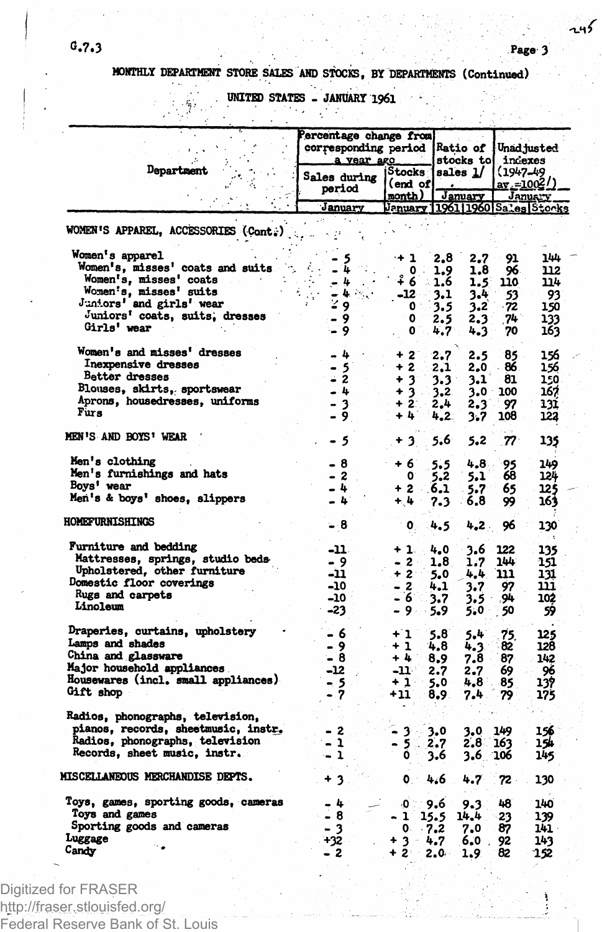**MONTHLY DEPARTMENT STORE SALES AND STOCKS, BY DEPARTMENTS (Continued)**

**. UNITED STATES - JANUARY 196I**

|                                                                         | Percentage change from<br>corresponding period<br>a vear ago |                            | <b>Ratio of</b><br>stocks to          | Unadjusted<br>indexes<br>$(1947 - 49)$<br>$ar = 100^2/$<br>Janus Y |  |  |
|-------------------------------------------------------------------------|--------------------------------------------------------------|----------------------------|---------------------------------------|--------------------------------------------------------------------|--|--|
| Department                                                              | Sales during<br>period                                       | Stocks<br>end of<br>month) | sales 1/<br>January                   |                                                                    |  |  |
|                                                                         | January                                                      |                            | January 11961   1960   Sales   Stocks |                                                                    |  |  |
| WOMEN'S APPAREL, ACCESSORIES (Cont.)                                    |                                                              |                            |                                       |                                                                    |  |  |
| Women's apparel                                                         |                                                              | +1                         | 2,8<br>2.7                            | 144<br>91                                                          |  |  |
| Women's, misses' coats and suits                                        |                                                              | $\mathbf{0}$               | 1.9<br>1,8                            | 96<br>112                                                          |  |  |
| Women's, misses' coats                                                  | 4                                                            | ة ۽<br>ă.                  | 1.6<br>1.5                            | 110<br>114                                                         |  |  |
| Women's, misses' suits<br>Juniors' and girls' wear                      | ь.                                                           | $-12$                      | 3.1<br>3.4                            | 93<br>53                                                           |  |  |
| Juniors' coats, suits, dresses                                          | 9                                                            | $\mathbf{0}$               | 3.5<br>3.2                            | - 72<br>150                                                        |  |  |
| Girls' wear                                                             | 9<br>9                                                       | 0<br>٥                     | 2.5<br>2.3<br>4.7                     | 74<br>133                                                          |  |  |
|                                                                         |                                                              |                            | 4.3                                   | 70<br>163                                                          |  |  |
| Women's and misses' dresses                                             | - 4                                                          | $+2$                       | 2.7<br>2.5                            | 85<br>156                                                          |  |  |
| Inexpensive dresses                                                     | - 5                                                          | + 2                        | 2,1<br>2.0                            | 86<br>156                                                          |  |  |
| Better dresses                                                          | - 2                                                          | $+3$                       | 3.3<br>3.1                            | 81<br>150                                                          |  |  |
| Blouses, skirts, sportswear                                             | - 4                                                          | 3<br>$\ddot{}$             | 3.2<br>∍0، 3                          | 167<br>100                                                         |  |  |
| Aprons, housedresses, uniforms                                          | $\overline{\mathbf{3}}$                                      | $+2$                       | 2.3<br>2.4                            | 97<br>131                                                          |  |  |
| Furs                                                                    | 9                                                            | $+1$                       | 4.2<br>3.7                            | 108<br>122                                                         |  |  |
|                                                                         |                                                              |                            |                                       |                                                                    |  |  |
| MEN'S AND BOYS' WEAR                                                    | -5                                                           | + 3                        | 5.6<br>5.2                            | $\boldsymbol{\mathcal{D}}$<br>135                                  |  |  |
| Men's clothing                                                          | 8<br>۰                                                       | + 6                        | $4.8 -$<br>5.5                        | 149<br>95                                                          |  |  |
| Men's furnishings and hats                                              | - 2                                                          | 0                          | 5.1<br>5.2                            | 68<br>124                                                          |  |  |
| Boys' wear                                                              | - 4                                                          | $+2$                       | 6.1<br>5.7                            | 65<br>125                                                          |  |  |
| Men's & boys' shoes, slippers                                           | 4                                                            | $+4$                       | 7.3<br>6.8                            | 99<br>163                                                          |  |  |
| <b>HOMEFURNISHINGS</b>                                                  | - 8                                                          | 0.                         | 4.5<br>4.2.                           | 96<br>130                                                          |  |  |
|                                                                         |                                                              |                            |                                       |                                                                    |  |  |
| Furniture and bedding                                                   | -11                                                          | + 1.                       | 4.0<br>3.6                            | 122<br>135                                                         |  |  |
| Mattresses, springs, studio beds                                        | - 9                                                          | - 2                        | 1.8<br>1.7                            | 144<br>151                                                         |  |  |
| Upholstered, other furniture                                            | -11                                                          | $+2$                       | 5.0<br>4,4                            | 111<br>131                                                         |  |  |
| <b>Domestic floor coverings</b>                                         | -10                                                          | $-2$                       | 3.7<br>4.1                            | 97<br>111                                                          |  |  |
| Rugs and carpets                                                        | -10 -                                                        | - 6                        | 3.7<br>3.5                            | .94<br>102                                                         |  |  |
| Linoleum                                                                | -23                                                          | - 9 -                      | 5.9<br>5.0                            | 50<br>59                                                           |  |  |
| Draperies, curtains, upholstery                                         | - 6                                                          | $+1$                       | 5.4<br>5.8                            | 125                                                                |  |  |
| Lamps and shades                                                        | - 9                                                          | $+1$                       | 4.8<br>4.3                            | 75.<br>82<br>128                                                   |  |  |
| China and glassware                                                     | - 8                                                          | $+1$                       | 7.8<br>8,9                            | 87<br>142                                                          |  |  |
| Major household appliances.                                             | -12                                                          | -11-                       | 2.7<br>2.7                            | 96<br>69                                                           |  |  |
| Housewares (incl. small appliances)                                     |                                                              | $+1$ :                     | 4.8<br>5.0                            | 85<br>137                                                          |  |  |
| Gift shop                                                               | - 5<br>- 7                                                   | +11                        | 8,9.<br>7.4                           | 175<br>79                                                          |  |  |
|                                                                         |                                                              |                            |                                       |                                                                    |  |  |
| Radios, phonographs, television,<br>pianos, records, sheetmusic, instr. |                                                              |                            |                                       |                                                                    |  |  |
| Radios, phonographs, television                                         | - 2<br>1                                                     | 3                          | 3.0<br>3,0                            | 149<br>156<br>163<br>154                                           |  |  |
| Records, sheet music, instr.                                            | $\mathbf{1}$                                                 | -5<br>٥                    | 2.7<br>2.8.                           |                                                                    |  |  |
|                                                                         |                                                              |                            | 3.6<br>3.6 106                        | 145                                                                |  |  |
| MISCELLANEOUS MERCHANDISE DEPTS.                                        | 3<br>۰                                                       | ٥                          | 4.6<br>4.7                            | 72.<br>130                                                         |  |  |
| Toys, games, sporting goods, cameras                                    | - 4                                                          | ۵                          | 9.6<br>9.3                            | 48<br>140                                                          |  |  |
| Toys and games                                                          | - 8                                                          | 1                          | 15.5<br>14.4                          | 23<br>139                                                          |  |  |
| Sporting goods and cameras                                              | - 3                                                          | 0.                         | $-7.2$<br>7.0                         | 87<br>141 ·                                                        |  |  |
| Luggage                                                                 | +32                                                          | + 3<br>$-4.7$              | 6.0.                                  | 92<br>143                                                          |  |  |
| Candy                                                                   | - 2                                                          | + 2≒∸                      | $2.0 -$<br>1.9                        | 82<br>152                                                          |  |  |
|                                                                         |                                                              |                            |                                       |                                                                    |  |  |

Digitized for FRASER http://fraser.stlouisfed.org/ Federal Reserve Bank of St. Louis